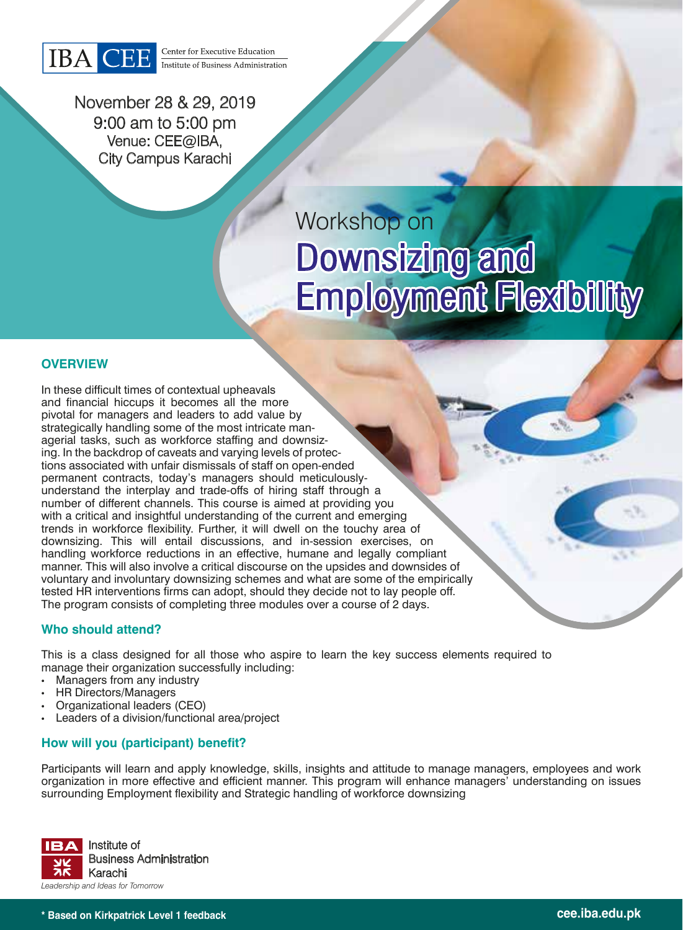

Center for Executive Education Institute of Business Administration

November 28 & 29, 2019 9:00 am to 5:00 pm Venue: CEE@IBA, City Campus Karachi

# Workshop on Downsizing and Employment Flexibility

## **OVERVIEW**

In these difficult times of contextual upheavals and financial hiccups it becomes all the more pivotal for managers and leaders to add value by strategically handling some of the most intricate managerial tasks, such as workforce staffing and downsizing. In the backdrop of caveats and varying levels of protections associated with unfair dismissals of staff on open-ended permanent contracts, today's managers should meticulouslyunderstand the interplay and trade-offs of hiring staff through a number of different channels. This course is aimed at providing you with a critical and insightful understanding of the current and emerging trends in workforce flexibility. Further, it will dwell on the touchy area of downsizing. This will entail discussions, and in-session exercises, on handling workforce reductions in an effective, humane and legally compliant manner. This will also involve a critical discourse on the upsides and downsides of voluntary and involuntary downsizing schemes and what are some of the empirically tested HR interventions firms can adopt, should they decide not to lay people off. The program consists of completing three modules over a course of 2 days.

#### **Who should attend?**

This is a class designed for all those who aspire to learn the key success elements required to manage their organization successfully including:

- Managers from any industry
- HR Directors/Managers
- Organizational leaders (CEO)
- Leaders of a division/functional area/project

### **How will you (participant) benefit?**

Participants will learn and apply knowledge, skills, insights and attitude to manage managers, employees and work organization in more effective and efficient manner. This program will enhance managers' understanding on issues surrounding Employment flexibility and Strategic handling of workforce downsizing